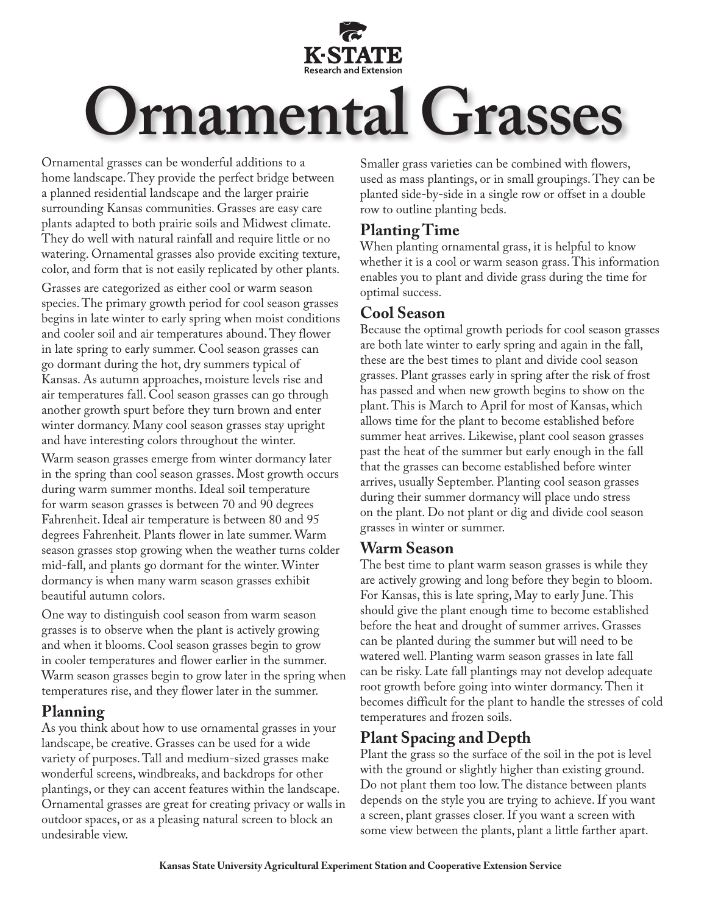

Ornamental grasses can be wonderful additions to a home landscape. They provide the perfect bridge between a planned residential landscape and the larger prairie surrounding Kansas communities. Grasses are easy care plants adapted to both prairie soils and Midwest climate. They do well with natural rainfall and require little or no watering. Ornamental grasses also provide exciting texture, color, and form that is not easily replicated by other plants.

Grasses are categorized as either cool or warm season species. The primary growth period for cool season grasses begins in late winter to early spring when moist conditions and cooler soil and air temperatures abound. They flower in late spring to early summer. Cool season grasses can go dormant during the hot, dry summers typical of Kansas. As autumn approaches, moisture levels rise and air temperatures fall. Cool season grasses can go through another growth spurt before they turn brown and enter winter dormancy. Many cool season grasses stay upright and have interesting colors throughout the winter.

Warm season grasses emerge from winter dormancy later in the spring than cool season grasses. Most growth occurs during warm summer months. Ideal soil temperature for warm season grasses is between 70 and 90 degrees Fahrenheit. Ideal air temperature is between 80 and 95 degrees Fahrenheit. Plants flower in late summer. Warm season grasses stop growing when the weather turns colder mid-fall, and plants go dormant for the winter. Winter dormancy is when many warm season grasses exhibit beautiful autumn colors.

One way to distinguish cool season from warm season grasses is to observe when the plant is actively growing and when it blooms. Cool season grasses begin to grow in cooler temperatures and flower earlier in the summer. Warm season grasses begin to grow later in the spring when temperatures rise, and they flower later in the summer.

## **Planning**

As you think about how to use ornamental grasses in your landscape, be creative. Grasses can be used for a wide variety of purposes. Tall and medium-sized grasses make wonderful screens, windbreaks, and backdrops for other plantings, or they can accent features within the landscape. Ornamental grasses are great for creating privacy or walls in outdoor spaces, or as a pleasing natural screen to block an undesirable view.

Smaller grass varieties can be combined with flowers, used as mass plantings, or in small groupings. They can be planted side-by-side in a single row or offset in a double row to outline planting beds.

## **Planting Time**

When planting ornamental grass, it is helpful to know whether it is a cool or warm season grass. This information enables you to plant and divide grass during the time for optimal success.

# **Cool Season**

Because the optimal growth periods for cool season grasses are both late winter to early spring and again in the fall, these are the best times to plant and divide cool season grasses. Plant grasses early in spring after the risk of frost has passed and when new growth begins to show on the plant. This is March to April for most of Kansas, which allows time for the plant to become established before summer heat arrives. Likewise, plant cool season grasses past the heat of the summer but early enough in the fall that the grasses can become established before winter arrives, usually September. Planting cool season grasses during their summer dormancy will place undo stress on the plant. Do not plant or dig and divide cool season grasses in winter or summer.

## **Warm Season**

The best time to plant warm season grasses is while they are actively growing and long before they begin to bloom. For Kansas, this is late spring, May to early June. This should give the plant enough time to become established before the heat and drought of summer arrives. Grasses can be planted during the summer but will need to be watered well. Planting warm season grasses in late fall can be risky. Late fall plantings may not develop adequate root growth before going into winter dormancy. Then it becomes difficult for the plant to handle the stresses of cold temperatures and frozen soils.

# **Plant Spacing and Depth**

Plant the grass so the surface of the soil in the pot is level with the ground or slightly higher than existing ground. Do not plant them too low. The distance between plants depends on the style you are trying to achieve. If you want a screen, plant grasses closer. If you want a screen with some view between the plants, plant a little farther apart.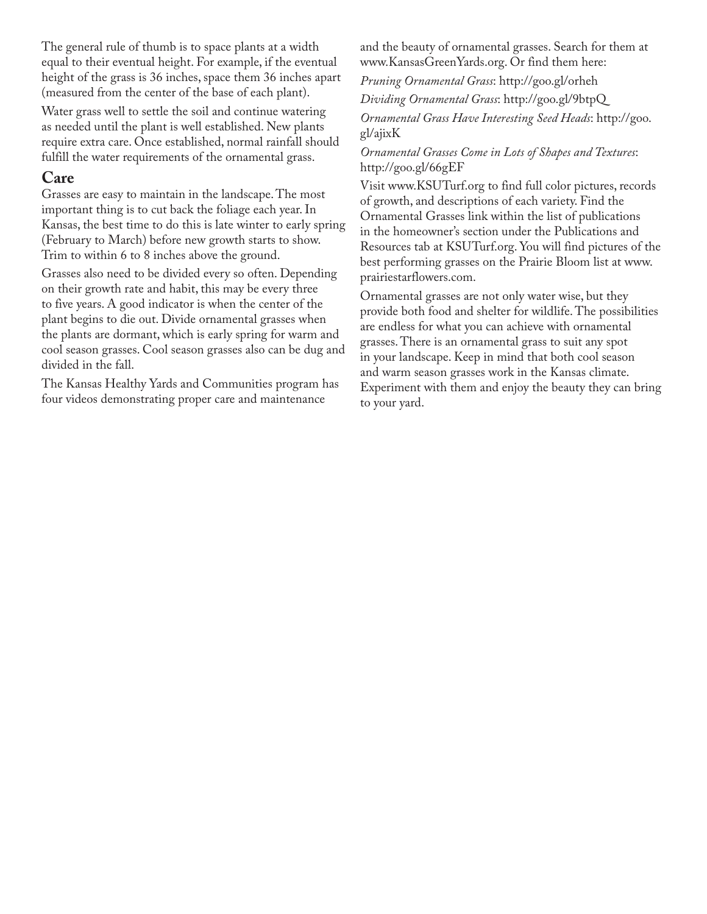The general rule of thumb is to space plants at a width equal to their eventual height. For example, if the eventual height of the grass is 36 inches, space them 36 inches apart (measured from the center of the base of each plant).

Water grass well to settle the soil and continue watering as needed until the plant is well established. New plants require extra care. Once established, normal rainfall should fulfill the water requirements of the ornamental grass.

#### **Care**

Grasses are easy to maintain in the landscape. The most important thing is to cut back the foliage each year. In Kansas, the best time to do this is late winter to early spring (February to March) before new growth starts to show. Trim to within 6 to 8 inches above the ground.

Grasses also need to be divided every so often. Depending on their growth rate and habit, this may be every three to five years. A good indicator is when the center of the plant begins to die out. Divide ornamental grasses when the plants are dormant, which is early spring for warm and cool season grasses. Cool season grasses also can be dug and divided in the fall.

The Kansas Healthy Yards and Communities program has four videos demonstrating proper care and maintenance

and the beauty of ornamental grasses. Search for them at www.KansasGreenYards.org. Or find them here:

*Pruning Ornamental Grass*: http://goo.gl/orheh

*Dividing Ornamental Grass*: http://goo.gl/9btpQ *Ornamental Grass Have Interesting Seed Heads*: http://goo. gl/ajixK

#### *Ornamental Grasses Come in Lots of Shapes and Textures*: http://goo.gl/66gEF

Visit www.KSUTurf.org to find full color pictures, records of growth, and descriptions of each variety. Find the Ornamental Grasses link within the list of publications in the homeowner's section under the Publications and Resources tab at KSUTurf.org. You will find pictures of the best performing grasses on the Prairie Bloom list at www. prairiestarflowers.com.

Ornamental grasses are not only water wise, but they provide both food and shelter for wildlife. The possibilities are endless for what you can achieve with ornamental grasses. There is an ornamental grass to suit any spot in your landscape. Keep in mind that both cool season and warm season grasses work in the Kansas climate. Experiment with them and enjoy the beauty they can bring to your yard.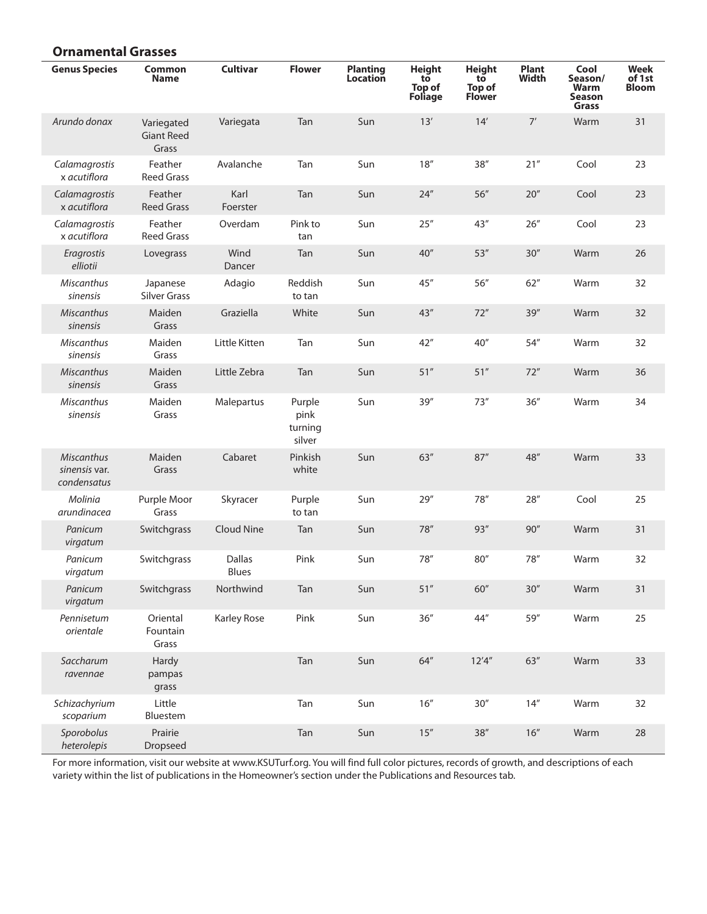#### **Ornamental Grasses**

| <b>Genus Species</b>                              | <b>Common</b><br>Name                    | <b>Cultivar</b>               | <b>Flower</b>                       | <b>Planting</b><br><b>Location</b> | <b>Height</b><br>to<br>Top of<br><b>Foliage</b> | <b>Height</b><br>tō<br><b>Top of</b><br>Flower | <b>Plant</b><br><b>Width</b> | Cool<br>Season/<br>Warm<br>Season<br>Grass | <b>Week</b><br>of 1st<br><b>Bloom</b> |
|---------------------------------------------------|------------------------------------------|-------------------------------|-------------------------------------|------------------------------------|-------------------------------------------------|------------------------------------------------|------------------------------|--------------------------------------------|---------------------------------------|
| Arundo donax                                      | Variegated<br><b>Giant Reed</b><br>Grass | Variegata                     | Tan                                 | Sun                                | 13'                                             | 14'                                            | 7'                           | Warm                                       | 31                                    |
| Calamagrostis<br>x acutiflora                     | Feather<br><b>Reed Grass</b>             | Avalanche                     | Tan                                 | Sun                                | 18''                                            | 38''                                           | 21''                         | Cool                                       | 23                                    |
| Calamagrostis<br>x acutiflora                     | Feather<br><b>Reed Grass</b>             | Karl<br>Foerster              | Tan                                 | Sun                                | 24''                                            | 56"                                            | 20''                         | Cool                                       | 23                                    |
| Calamagrostis<br>x acutiflora                     | Feather<br><b>Reed Grass</b>             | Overdam                       | Pink to<br>tan                      | Sun                                | 25''                                            | 43"                                            | 26''                         | Cool                                       | 23                                    |
| Eragrostis<br>elliotii                            | Lovegrass                                | Wind<br>Dancer                | Tan                                 | Sun                                | 40''                                            | 53''                                           | 30''                         | Warm                                       | 26                                    |
| Miscanthus<br>sinensis                            | Japanese<br><b>Silver Grass</b>          | Adagio                        | Reddish<br>to tan                   | Sun                                | 45"                                             | 56"                                            | 62''                         | Warm                                       | 32                                    |
| <b>Miscanthus</b><br>sinensis                     | Maiden<br>Grass                          | Graziella                     | White                               | Sun                                | 43"                                             | 72"                                            | 39''                         | Warm                                       | 32                                    |
| <b>Miscanthus</b><br>sinensis                     | Maiden<br>Grass                          | Little Kitten                 | Tan                                 | Sun                                | 42''                                            | 40''                                           | 54''                         | Warm                                       | 32                                    |
| <b>Miscanthus</b><br>sinensis                     | Maiden<br>Grass                          | Little Zebra                  | Tan                                 | Sun                                | 51''                                            | 51''                                           | 72''                         | Warm                                       | 36                                    |
| Miscanthus<br>sinensis                            | Maiden<br>Grass                          | Malepartus                    | Purple<br>pink<br>turning<br>silver | Sun                                | 39''                                            | 73''                                           | 36''                         | Warm                                       | 34                                    |
| <b>Miscanthus</b><br>sinensis var.<br>condensatus | Maiden<br>Grass                          | Cabaret                       | Pinkish<br>white                    | Sun                                | 63''                                            | 87''                                           | 48"                          | Warm                                       | 33                                    |
| Molinia<br>arundinacea                            | Purple Moor<br>Grass                     | Skyracer                      | Purple<br>to tan                    | Sun                                | 29''                                            | 78''                                           | 28''                         | Cool                                       | 25                                    |
| Panicum<br>virgatum                               | Switchgrass                              | Cloud Nine                    | Tan                                 | Sun                                | 78"                                             | 93''                                           | 90''                         | Warm                                       | 31                                    |
| Panicum<br>virgatum                               | Switchgrass                              | <b>Dallas</b><br><b>Blues</b> | Pink                                | Sun                                | 78"                                             | 80''                                           | 78''                         | Warm                                       | 32                                    |
| Panicum<br>virgatum                               | Switchgrass                              | Northwind                     | Tan                                 | Sun                                | 51''                                            | 60"                                            | $30''$                       | Warm                                       | 31                                    |
| Pennisetum<br>orientale                           | Oriental<br>Fountain<br>Grass            | Karley Rose                   | Pink                                | Sun                                | 36''                                            | 44''                                           | 59"                          | Warm                                       | 25                                    |
| Saccharum<br>ravennae                             | Hardy<br>pampas<br>grass                 |                               | Tan                                 | Sun                                | 64"                                             | 12'4''                                         | $63''$                       | Warm                                       | 33                                    |
| Schizachyrium<br>scoparium                        | Little<br>Bluestem                       |                               | Tan                                 | Sun                                | 16''                                            | 30''                                           | $14''$                       | Warm                                       | 32                                    |
| Sporobolus<br>heterolepis                         | Prairie<br>Dropseed                      |                               | Tan                                 | Sun                                | 15''                                            | $38''$                                         | $16''$                       | Warm                                       | 28                                    |

For more information, visit our website at www.KSUTurf.org. You will find full color pictures, records of growth, and descriptions of each variety within the list of publications in the Homeowner's section under the Publications and Resources tab.